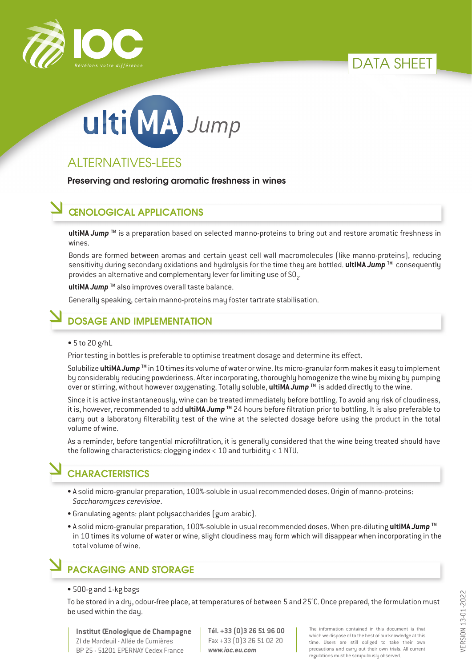





# ALTERNATIVES-LEES

Preserving and restoring aromatic freshness in wines

#### ŒNOLOGICAL APPLICATIONS

**ultiMA** *Jump* **TM** is a preparation based on selected manno-proteins to bring out and restore aromatic freshness in wines.

Bonds are formed between aromas and certain yeast cell wall macromolecules (like manno-proteins), reducing sensitivity during secondary oxidations and hydrolysis for the time they are bottled. **ultiMA** *Jump* **TM** consequently provides an alternative and complementary lever for limiting use of SO<sub>2</sub>.

**ultiMA** *Jump* **TM** also improves overall taste balance.

Generally speaking, certain manno-proteins may foster tartrate stabilisation.

### DOSAGE AND IMPLEMENTATION

#### • 5 to 20 g/hL

Prior testing in bottles is preferable to optimise treatment dosage and determine its effect.

Solubilize **ultiMA** *Jump* **TM** in 10 times its volume of water or wine. Its micro-granular form makes it easy to implement by considerably reducing powderiness. After incorporating, thoroughly homogenize the wine by mixing by pumping over or stirring, without however oxygenating. Totally soluble, **ultiMA** *Jump* **TM** is added directly to the wine.

Since it is active instantaneously, wine can be treated immediately before bottling. To avoid any risk of cloudiness, it is, however, recommended to add **ultiMA** *Jump* **TM** 24 hours before filtration prior to bottling. It is also preferable to carry out a laboratory filterability test of the wine at the selected dosage before using the product in the total volume of wine.

As a reminder, before tangential microfiltration, it is generally considered that the wine being treated should have the following characteristics: clogging index < 10 and turbidity < 1 NTU.

### **CHARACTERISTICS**

- A solid micro-granular preparation, 100%-soluble in usual recommended doses. Origin of manno-proteins: *Saccharomyces cerevisiae*.
- Granulating agents: plant polysaccharides (gum arabic).
- A solid micro-granular preparation, 100%-soluble in usual recommended doses. When pre-diluting **ultiMA** *Jump* **TM** in 10 times its volume of water or wine, slight cloudiness may form which will disappear when incorporating in the total volume of wine.

# PACKAGING AND STORAGE

#### • 500-g and 1-kg bags

To be stored in a dry, odour-free place, at temperatures of between 5 and 25°C. Once prepared, the formulation must be used within the day.

**Institut Œnologique de Champagne** ZI de Mardeuil - Allée de Cumières BP 25 - 51201 EPERNAY Cedex France

**Tél. +33 (0)3 26 51 96 00** Fax +33 (0)3 26 51 02 20 *www.ioc.eu.com*

The information contained in this document is that which we dispose of to the best of our knowledge at this time. Users are still obliged to take their own precautions and carry out their own trials. All current regulations must be scrupulously observed.